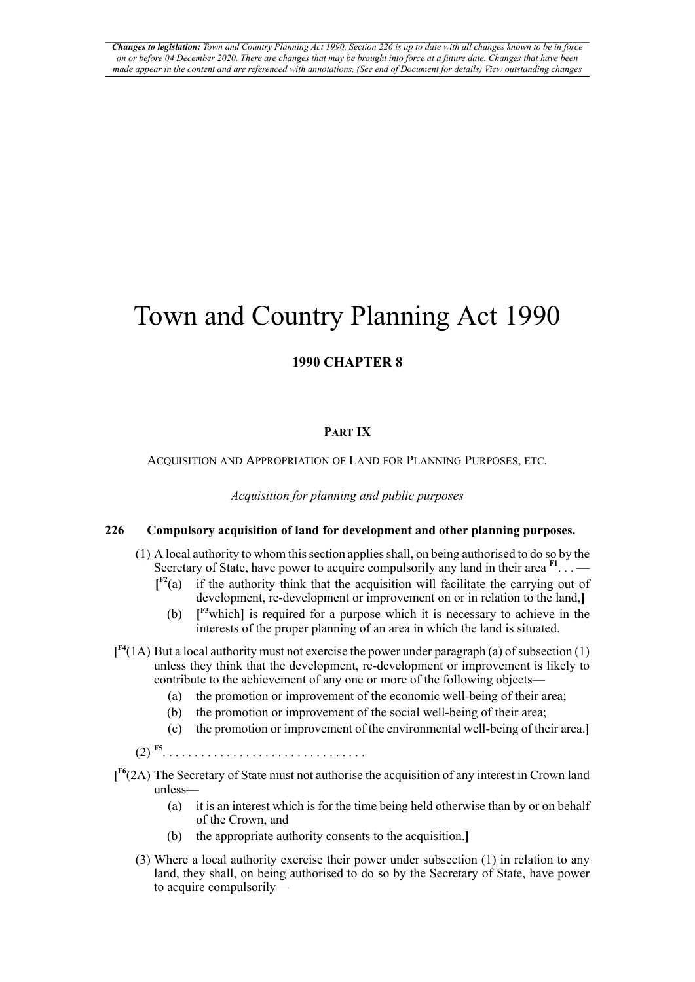# Town and Country Planning Act 1990

# **1990 CHAPTER 8**

## <span id="page-0-0"></span>**PART IX**

ACQUISITION AND APPROPRIATION OF LAND FOR PLANNING PURPOSES, ETC.

*Acquisition for planning and public purposes*

## **226 Compulsory acquisition of land for development and other planning purposes.**

- <span id="page-0-2"></span><span id="page-0-1"></span>(1) A local authority to whom this section applies shall, on being authorised to do so by the Secretary of State, have power to acquire compulsorily any land in their area  $F1$ ... —
	- $\mathbf{I}^{\mathrm{F2}}(\mathbf{a})$ if the authority think that the acquisition will facilitate the carrying out of development, re-development or improvement on or in relation to the land,**]**
		- (b) **[ [F3](#page-1-2)**which**]** is required for a purpose which it is necessary to achieve in the interests of the proper planning of an area in which the land is situated.
- <span id="page-0-3"></span>**[ [F4](#page-1-3)**(1A) But a local authority must not exercise the power under paragraph (a) of subsection (1) unless they think that the development, re-development or improvement is likely to contribute to the achievement of any one or more of the following objects—
	- (a) the promotion or improvement of the economic well-being of their area;
	- (b) the promotion or improvement of the social well-being of their area;
	- (c) the promotion or improvement of the environmental well-being of their area.**]**
	- $(2)$ <sup>[F5](#page-1-4)</sup> . . . . . . . . . . . . . . . . . . . . . . . . . . . . . . . .
- <span id="page-0-5"></span><span id="page-0-4"></span>**[ [F6](#page-1-5)**(2A) The Secretary of State must not authorise the acquisition of any interest in Crown land unless—
	- (a) it is an interest which is for the time being held otherwise than by or on behalf of the Crown, and
	- (b) the appropriate authority consents to the acquisition.**]**
	- (3) Where a local authority exercise their power under subsection (1) in relation to any land, they shall, on being authorised to do so by the Secretary of State, have power to acquire compulsorily—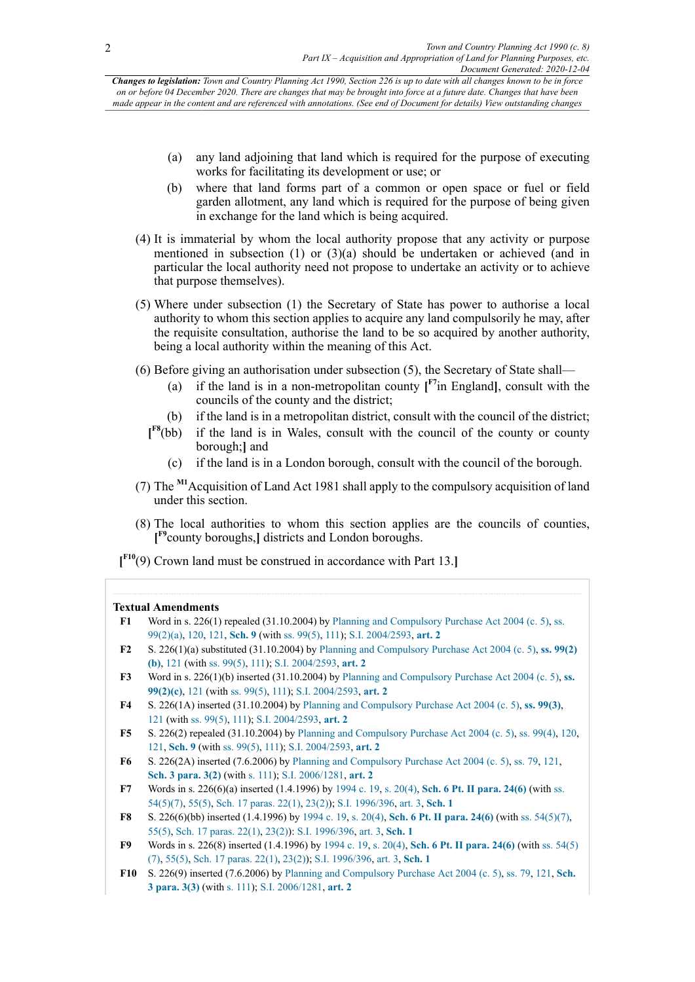Changes to legislation: Town and Country Planning Act 1990, Section 226 is up to date with all changes known to be in force on or before 04 December 2020. There are changes that may be brought into force at a future date. Changes that have been made appear in the content and are referenced with annotations. (See end of Document for details) View outstanding changes

- (a) any land adjoining that land which is required for the purpose of executing works for facilitating its development or use; or
- (b) where that land forms part of a common or open space or fuel or field garden allotment, any land which is required for the purpose of being given in exchange for the land which is being acquired.
- (4) It is immaterial by whom the local authority propose that any activity or purpose mentioned in subsection (1) or (3)(a) should be undertaken or achieved (and in particular the local authority need not propose to undertake an activity or to achieve that purpose themselves).
- (5) Where under subsection (1) the Secretary of State has power to authorise a local authority to whom this section applies to acquire any land compulsorily he may, after the requisite consultation, authorise the land to be so acquired by another authority, being a local authority within the meaning of this Act.
- <span id="page-1-11"></span><span id="page-1-10"></span>(6) Before giving an authorisation under subsection (5), the Secretary of State shall—
	- (a) if the land is in a non-metropolitan county  $\mathbf{I}^{\text{F7}}$  $\mathbf{I}^{\text{F7}}$  $\mathbf{I}^{\text{F7}}$  England], consult with the councils of the county and the district;
	- (b) if the land is in a metropolitan district, consult with the council of the district;
	- $\mathbf{I}^{\text{F8}}$ (bb) if the land is in Wales, consult with the council of the county or county borough;**]** and
		- (c) if the land is in a London borough, consult with the council of the borough.
- <span id="page-1-14"></span>(7) The **[M1](#page-2-0)**Acquisition of Land Act 1981 shall apply to the compulsory acquisition of land under this section.
- <span id="page-1-12"></span>(8) The local authorities to whom this section applies are the councils of counties, **[ [F9](#page-1-8)**county boroughs,**]** districts and London boroughs.
- <span id="page-1-13"></span>**[ [F10](#page-1-9)**(9) Crown land must be construed in accordance with Part 13.**]**

#### **Textual Amendments**

- <span id="page-1-0"></span>**[F1](#page-0-0)** Word in s. 226(1) repealed (31.10.2004) by [Planning and Compulsory Purchase Act 2004 \(c. 5\)](http://www.legislation.gov.uk/id/ukpga/2004/5), [ss.](http://www.legislation.gov.uk/id/ukpga/2004/5/section/99/2/a) [99\(2\)\(a\)](http://www.legislation.gov.uk/id/ukpga/2004/5/section/99/2/a), [120](http://www.legislation.gov.uk/id/ukpga/2004/5/section/120), [121](http://www.legislation.gov.uk/id/ukpga/2004/5/section/121), **[Sch. 9](http://www.legislation.gov.uk/id/ukpga/2004/5/schedule/9)** (with [ss. 99\(5\)](http://www.legislation.gov.uk/id/ukpga/2004/5/section/99/5), [111\)](http://www.legislation.gov.uk/id/ukpga/2004/5/section/111); [S.I. 2004/2593,](http://www.legislation.gov.uk/id/uksi/2004/2593) **[art. 2](http://www.legislation.gov.uk/id/uksi/2004/2593/article/2)**
- <span id="page-1-1"></span>**[F2](#page-0-1)** S. 226(1)(a) substituted (31.10.2004) by [Planning and Compulsory Purchase Act 2004 \(c. 5\)](http://www.legislation.gov.uk/id/ukpga/2004/5), **[ss. 99\(2\)](http://www.legislation.gov.uk/id/ukpga/2004/5/section/99/2/b) [\(b\)](http://www.legislation.gov.uk/id/ukpga/2004/5/section/99/2/b)**, [121](http://www.legislation.gov.uk/id/ukpga/2004/5/section/121) (with [ss. 99\(5\)](http://www.legislation.gov.uk/id/ukpga/2004/5/section/99/5), [111\)](http://www.legislation.gov.uk/id/ukpga/2004/5/section/111); [S.I. 2004/2593,](http://www.legislation.gov.uk/id/uksi/2004/2593) **[art. 2](http://www.legislation.gov.uk/id/uksi/2004/2593/article/2)**
- <span id="page-1-2"></span>**[F3](#page-0-2)** Word in s. 226(1)(b) inserted (31.10.2004) by [Planning and Compulsory Purchase Act 2004 \(c. 5\),](http://www.legislation.gov.uk/id/ukpga/2004/5) **[ss.](http://www.legislation.gov.uk/id/ukpga/2004/5/section/99/2/c) [99\(2\)\(c\)](http://www.legislation.gov.uk/id/ukpga/2004/5/section/99/2/c)**, [121](http://www.legislation.gov.uk/id/ukpga/2004/5/section/121) (with [ss. 99\(5\),](http://www.legislation.gov.uk/id/ukpga/2004/5/section/99/5) [111](http://www.legislation.gov.uk/id/ukpga/2004/5/section/111)); [S.I. 2004/2593](http://www.legislation.gov.uk/id/uksi/2004/2593), **[art. 2](http://www.legislation.gov.uk/id/uksi/2004/2593/article/2)**
- <span id="page-1-3"></span>**[F4](#page-0-3)** S. 226(1A) inserted (31.10.2004) by [Planning and Compulsory Purchase Act 2004 \(c. 5\)](http://www.legislation.gov.uk/id/ukpga/2004/5), **[ss. 99\(3\)](http://www.legislation.gov.uk/id/ukpga/2004/5/section/99/3)**, [121](http://www.legislation.gov.uk/id/ukpga/2004/5/section/121) (with [ss. 99\(5\),](http://www.legislation.gov.uk/id/ukpga/2004/5/section/99/5) [111](http://www.legislation.gov.uk/id/ukpga/2004/5/section/111)); [S.I. 2004/2593](http://www.legislation.gov.uk/id/uksi/2004/2593), **[art. 2](http://www.legislation.gov.uk/id/uksi/2004/2593/article/2)**
- <span id="page-1-4"></span>**[F5](#page-0-4)** S. 226(2) repealed (31.10.2004) by [Planning and Compulsory Purchase Act 2004 \(c. 5\),](http://www.legislation.gov.uk/id/ukpga/2004/5) [ss. 99\(4\)](http://www.legislation.gov.uk/id/ukpga/2004/5/section/99/4), [120](http://www.legislation.gov.uk/id/ukpga/2004/5/section/120), [121](http://www.legislation.gov.uk/id/ukpga/2004/5/section/121), **[Sch. 9](http://www.legislation.gov.uk/id/ukpga/2004/5/schedule/9)** (with [ss. 99\(5\)](http://www.legislation.gov.uk/id/ukpga/2004/5/section/99/5), [111\)](http://www.legislation.gov.uk/id/ukpga/2004/5/section/111); [S.I. 2004/2593,](http://www.legislation.gov.uk/id/uksi/2004/2593) **[art. 2](http://www.legislation.gov.uk/id/uksi/2004/2593/article/2)**
- <span id="page-1-5"></span>**[F6](#page-0-5)** S. 226(2A) inserted (7.6.2006) by [Planning and Compulsory Purchase Act 2004 \(c. 5\)](http://www.legislation.gov.uk/id/ukpga/2004/5), [ss. 79](http://www.legislation.gov.uk/id/ukpga/2004/5/section/79), [121](http://www.legislation.gov.uk/id/ukpga/2004/5/section/121), **[Sch. 3 para. 3\(2\)](http://www.legislation.gov.uk/id/ukpga/2004/5/schedule/3/paragraph/3/2)** (with s. [111\)](http://www.legislation.gov.uk/id/ukpga/2004/5/section/111); [S.I. 2006/1281,](http://www.legislation.gov.uk/id/uksi/2006/1281) **[art. 2](http://www.legislation.gov.uk/id/uksi/2006/1281/article/2)**
- <span id="page-1-6"></span>**[F7](#page-1-10)** Words in s. 226(6)(a) inserted (1.4.1996) by [1994 c. 19](http://www.legislation.gov.uk/id/ukpga/1994/19), [s. 20\(4\)](http://www.legislation.gov.uk/id/ukpga/1994/19/section/20/4), **[Sch. 6 Pt. II para. 24\(6\)](http://www.legislation.gov.uk/id/ukpga/1994/19/schedule/6/part/II/paragraph/24/6)** (with [ss.](http://www.legislation.gov.uk/id/ukpga/1994/19/section/54/5/7) [54\(5\)\(7\),](http://www.legislation.gov.uk/id/ukpga/1994/19/section/54/5/7) [55\(5\),](http://www.legislation.gov.uk/id/ukpga/1994/19/section/55/5) [Sch. 17 paras. 22\(1\)](http://www.legislation.gov.uk/id/ukpga/1994/19/schedule/17/paragraph/22/1), [23\(2\)](http://www.legislation.gov.uk/id/ukpga/1994/19/schedule/17/paragraph/23/2)); [S.I. 1996/396,](http://www.legislation.gov.uk/id/uksi/1996/396) [art. 3,](http://www.legislation.gov.uk/id/uksi/1996/396/article/3) **[Sch. 1](http://www.legislation.gov.uk/id/uksi/1996/396/schedule/1)**
- <span id="page-1-7"></span>**[F8](#page-1-11)** S. 226(6)(bb) inserted (1.4.1996) by [1994 c. 19,](http://www.legislation.gov.uk/id/ukpga/1994/19) [s. 20\(4\),](http://www.legislation.gov.uk/id/ukpga/1994/19/section/20/4) **[Sch. 6 Pt. II para. 24\(6\)](http://www.legislation.gov.uk/id/ukpga/1994/19/schedule/6/part/II/paragraph/24/6)** (with [ss. 54\(5\)\(7\),](http://www.legislation.gov.uk/id/ukpga/1994/19/section/54/5/7) [55\(5\)](http://www.legislation.gov.uk/id/ukpga/1994/19/section/55/5), [Sch. 17 paras. 22\(1\),](http://www.legislation.gov.uk/id/ukpga/1994/19/schedule/17/paragraph/22/1) [23\(2\)\)](http://www.legislation.gov.uk/id/ukpga/1994/19/schedule/17/paragraph/23/2): [S.I. 1996/396](http://www.legislation.gov.uk/id/uksi/1996/396), [art. 3](http://www.legislation.gov.uk/id/uksi/1996/396/article/3), **[Sch. 1](http://www.legislation.gov.uk/id/uksi/1996/396/schedule/1)**
- <span id="page-1-8"></span>**[F9](#page-1-12)** Words in s. 226(8) inserted (1.4.1996) by [1994 c. 19](http://www.legislation.gov.uk/id/ukpga/1994/19), [s. 20\(4\)](http://www.legislation.gov.uk/id/ukpga/1994/19/section/20/4), **[Sch. 6 Pt. II para. 24\(6\)](http://www.legislation.gov.uk/id/ukpga/1994/19/schedule/6/part/II/paragraph/24/6)** (with [ss. 54\(5\)](http://www.legislation.gov.uk/id/ukpga/1994/19/section/54/5/7) [\(7\)](http://www.legislation.gov.uk/id/ukpga/1994/19/section/54/5/7), [55\(5\)](http://www.legislation.gov.uk/id/ukpga/1994/19/section/55/5), [Sch. 17 paras. 22\(1\),](http://www.legislation.gov.uk/id/ukpga/1994/19/schedule/17/paragraph/22/1) [23\(2\)\)](http://www.legislation.gov.uk/id/ukpga/1994/19/schedule/17/paragraph/23/2); [S.I. 1996/396](http://www.legislation.gov.uk/id/uksi/1996/396), [art. 3](http://www.legislation.gov.uk/id/uksi/1996/396/article/3), **[Sch. 1](http://www.legislation.gov.uk/id/uksi/1996/396/schedule/1)**
- <span id="page-1-9"></span>**[F10](#page-1-13)** S. 226(9) inserted (7.6.2006) by [Planning and Compulsory Purchase Act 2004 \(c. 5\),](http://www.legislation.gov.uk/id/ukpga/2004/5) [ss. 79,](http://www.legislation.gov.uk/id/ukpga/2004/5/section/79) [121,](http://www.legislation.gov.uk/id/ukpga/2004/5/section/121) **[Sch.](http://www.legislation.gov.uk/id/ukpga/2004/5/schedule/3/paragraph/3/3) [3 para. 3\(3\)](http://www.legislation.gov.uk/id/ukpga/2004/5/schedule/3/paragraph/3/3)** (with s. [111](http://www.legislation.gov.uk/id/ukpga/2004/5/section/111)); [S.I. 2006/1281](http://www.legislation.gov.uk/id/uksi/2006/1281), **[art. 2](http://www.legislation.gov.uk/id/uksi/2006/1281/article/2)**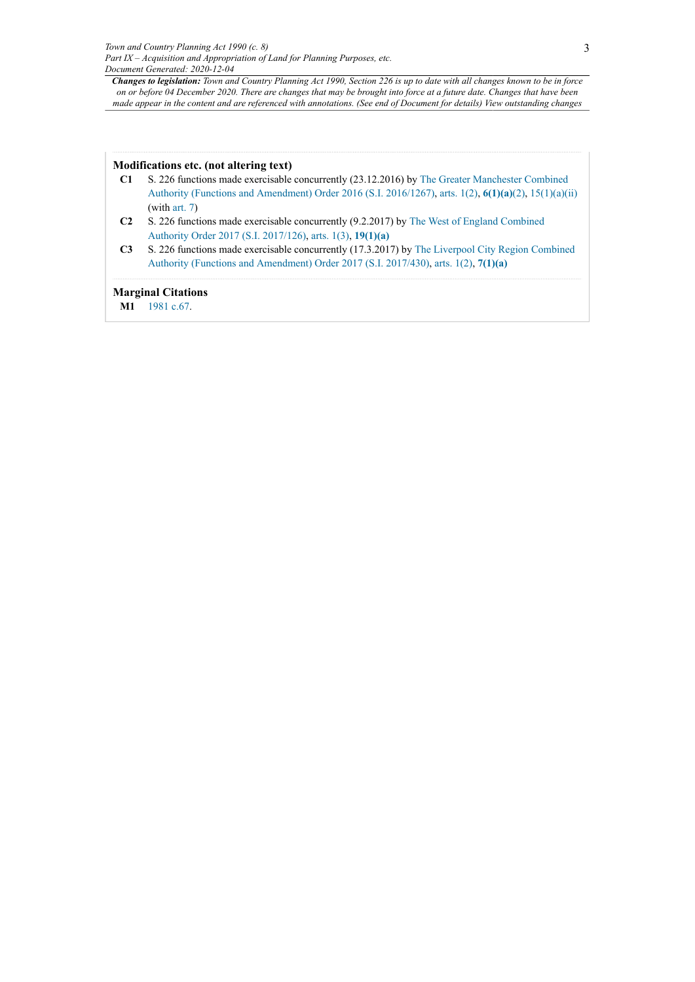Changes to legislation: Town and Country Planning Act 1990, Section 226 is up to date with all changes known to be in force on or before 04 December 2020. There are changes that may be brought into force at a future date. Changes that have been made appear in the content and are referenced with annotations. (See end of Document for details) View outstanding changes

#### **Modifications etc. (not altering text)**

- **C1** S. 226 functions made exercisable concurrently (23.12.2016) by [The Greater Manchester Combined](http://www.legislation.gov.uk/id/uksi/2016/1267) [Authority \(Functions and Amendment\) Order 2016 \(S.I. 2016/1267\)](http://www.legislation.gov.uk/id/uksi/2016/1267), [arts. 1\(2\)](http://www.legislation.gov.uk/id/uksi/2016/1267/article/1/2), **[6\(1\)\(a\)](http://www.legislation.gov.uk/id/uksi/2016/1267/article/6/1/a)**[\(2\),](http://www.legislation.gov.uk/id/uksi/2016/1267/article/6/2) [15\(1\)\(a\)\(ii\)](http://www.legislation.gov.uk/id/uksi/2016/1267/article/15/1/a/ii) (with [art. 7](http://www.legislation.gov.uk/id/uksi/2016/1267/article/7))
- **C2** S. 226 functions made exercisable concurrently (9.2.2017) by The West of England [Combined](http://www.legislation.gov.uk/id/uksi/2017/126) [Authority Order 2017 \(S.I. 2017/126\)](http://www.legislation.gov.uk/id/uksi/2017/126), [arts. 1\(3\)](http://www.legislation.gov.uk/id/uksi/2017/126/article/1/3), **[19\(1\)\(a\)](http://www.legislation.gov.uk/id/uksi/2017/126/article/19/1/a)**
- **C3** S. 226 functions made exercisable concurrently (17.3.2017) by [The Liverpool City Region Combined](http://www.legislation.gov.uk/id/uksi/2017/430) [Authority \(Functions and Amendment\) Order 2017 \(S.I. 2017/430\),](http://www.legislation.gov.uk/id/uksi/2017/430) [arts. 1\(2\),](http://www.legislation.gov.uk/id/uksi/2017/430/article/1/2) **[7\(1\)\(a\)](http://www.legislation.gov.uk/id/uksi/2017/430/article/7/1/a)**

#### **Marginal Citations**

<span id="page-2-0"></span>**[M1](#page-1-14)** [1981 c.67](http://www.legislation.gov.uk/id/ukpga/1981/67).